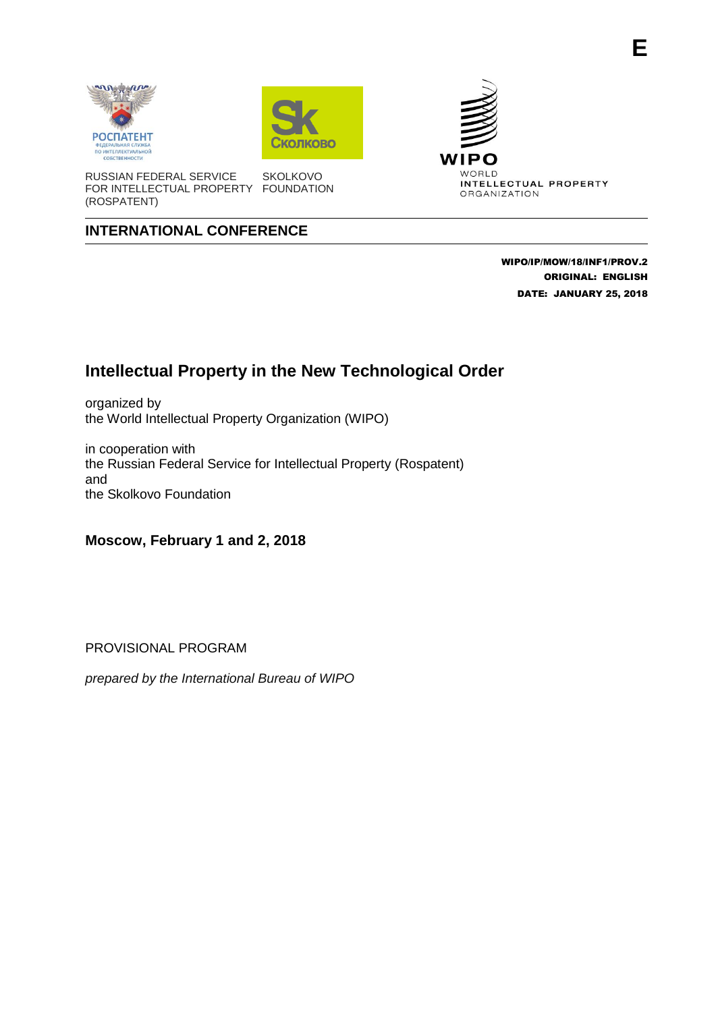





RUSSIAN FEDERAL SERVICE FOR INTELLECTUAL PROPERTY FOUNDATION (ROSPATENT) **SKOLKOVO** 

## **INTERNATIONAL CONFERENCE**

 WIPO/IP/MOW/18/INF1/PROV.2 ORIGINAL: ENGLISH DATE: JANUARY 25, 2018

## **Intellectual Property in the New Technological Order**

organized by the World Intellectual Property Organization (WIPO)

in cooperation with the Russian Federal Service for Intellectual Property (Rospatent) and the Skolkovo Foundation

**Moscow, February 1 and 2, 2018**

PROVISIONAL PROGRAM

*prepared by the International Bureau of WIPO*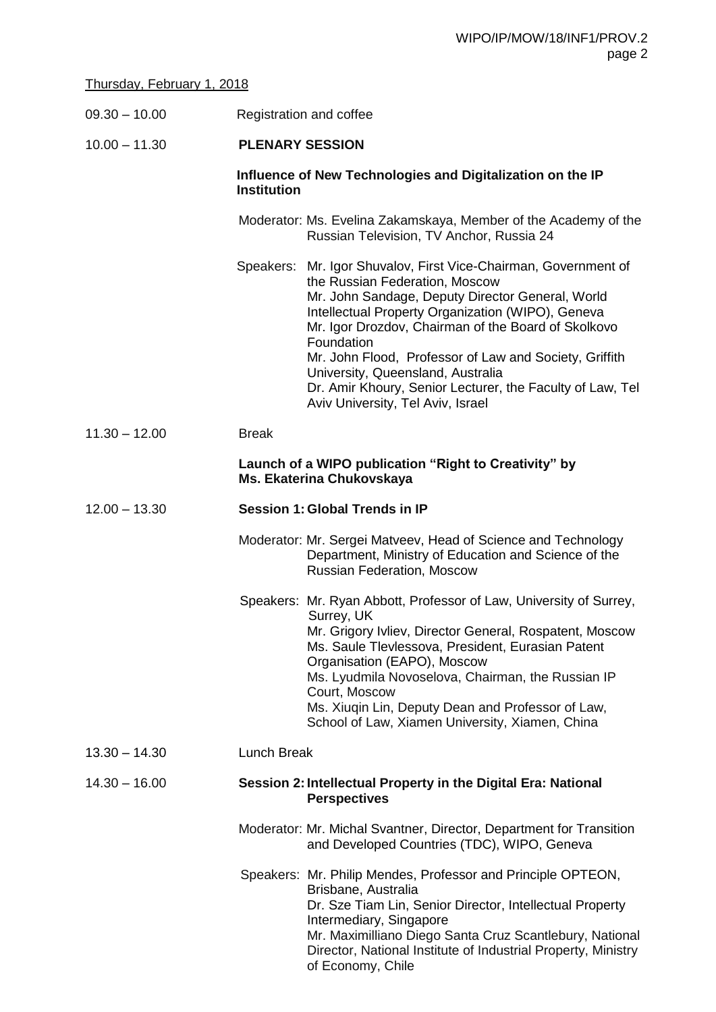## Thursday, February 1, 2018

| $09.30 - 10.00$ | Registration and coffee                                                                                                                                                                                                                                                                                                                                                                                                                                                          |
|-----------------|----------------------------------------------------------------------------------------------------------------------------------------------------------------------------------------------------------------------------------------------------------------------------------------------------------------------------------------------------------------------------------------------------------------------------------------------------------------------------------|
| $10.00 - 11.30$ | <b>PLENARY SESSION</b>                                                                                                                                                                                                                                                                                                                                                                                                                                                           |
|                 | Influence of New Technologies and Digitalization on the IP<br><b>Institution</b>                                                                                                                                                                                                                                                                                                                                                                                                 |
|                 | Moderator: Ms. Evelina Zakamskaya, Member of the Academy of the<br>Russian Television, TV Anchor, Russia 24                                                                                                                                                                                                                                                                                                                                                                      |
|                 | Speakers: Mr. Igor Shuvalov, First Vice-Chairman, Government of<br>the Russian Federation, Moscow<br>Mr. John Sandage, Deputy Director General, World<br>Intellectual Property Organization (WIPO), Geneva<br>Mr. Igor Drozdov, Chairman of the Board of Skolkovo<br>Foundation<br>Mr. John Flood, Professor of Law and Society, Griffith<br>University, Queensland, Australia<br>Dr. Amir Khoury, Senior Lecturer, the Faculty of Law, Tel<br>Aviv University, Tel Aviv, Israel |
| $11.30 - 12.00$ | <b>Break</b>                                                                                                                                                                                                                                                                                                                                                                                                                                                                     |
|                 | Launch of a WIPO publication "Right to Creativity" by<br>Ms. Ekaterina Chukovskaya                                                                                                                                                                                                                                                                                                                                                                                               |
| $12.00 - 13.30$ | <b>Session 1: Global Trends in IP</b>                                                                                                                                                                                                                                                                                                                                                                                                                                            |
|                 | Moderator: Mr. Sergei Matveev, Head of Science and Technology<br>Department, Ministry of Education and Science of the<br><b>Russian Federation, Moscow</b>                                                                                                                                                                                                                                                                                                                       |
|                 | Speakers: Mr. Ryan Abbott, Professor of Law, University of Surrey,<br>Surrey, UK<br>Mr. Grigory Ivliev, Director General, Rospatent, Moscow<br>Ms. Saule Tlevlessova, President, Eurasian Patent<br>Organisation (EAPO), Moscow<br>Ms. Lyudmila Novoselova, Chairman, the Russian IP<br>Court, Moscow<br>Ms. Xiuqin Lin, Deputy Dean and Professor of Law,<br>School of Law, Xiamen University, Xiamen, China                                                                    |
| $13.30 - 14.30$ | <b>Lunch Break</b>                                                                                                                                                                                                                                                                                                                                                                                                                                                               |
| $14.30 - 16.00$ | Session 2: Intellectual Property in the Digital Era: National<br><b>Perspectives</b>                                                                                                                                                                                                                                                                                                                                                                                             |
|                 | Moderator: Mr. Michal Svantner, Director, Department for Transition<br>and Developed Countries (TDC), WIPO, Geneva                                                                                                                                                                                                                                                                                                                                                               |
|                 | Speakers: Mr. Philip Mendes, Professor and Principle OPTEON,<br>Brisbane, Australia<br>Dr. Sze Tiam Lin, Senior Director, Intellectual Property<br>Intermediary, Singapore<br>Mr. Maximilliano Diego Santa Cruz Scantlebury, National<br>Director, National Institute of Industrial Property, Ministry<br>of Economy, Chile                                                                                                                                                      |